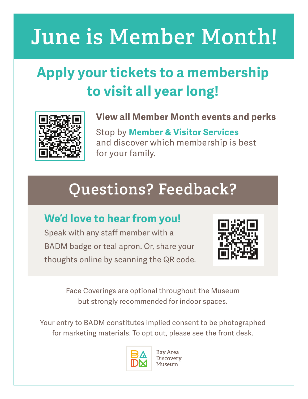# **June is Member Month!**

## **Apply your tickets to a membership to visit all year long!**



#### **View all Member Month events and perks**

Stop by **Member & Visitor Services** and discover which membership is best for your family.

# **Questions? Feedback?**

### **We'd love to hear from you!**

Speak with any staff member with a BADM badge or teal apron. Or, share your thoughts online by scanning the QR code.



Face Coverings are optional throughout the Museum but strongly recommended for indoor spaces.

Your entry to BADM constitutes implied consent to be photographed for marketing materials. To opt out, please see the front desk.



Bay Area Discovery